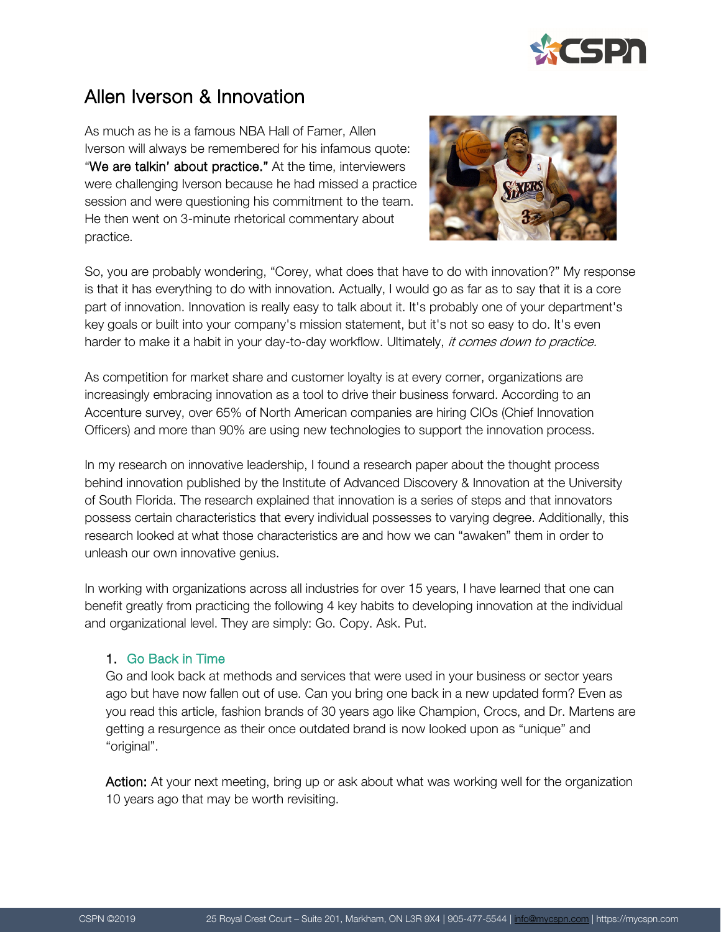

# Allen Iverson & Innovation

As much as he is a famous NBA Hall of Famer, Allen Iverson will always be remembered for his infamous quote: "We are talkin' about practice." At the time, interviewers were challenging Iverson because he had missed a practice session and were questioning his commitment to the team. He then went on 3-minute rhetorical commentary about practice.



So, you are probably wondering, "Corey, what does that have to do with innovation?" My response is that it has everything to do with innovation. Actually, I would go as far as to say that it is a core part of innovation. Innovation is really easy to talk about it. It's probably one of your department's key goals or built into your company's mission statement, but it's not so easy to do. It's even harder to make it a habit in your day-to-day workflow. Ultimately, it comes down to practice.

As competition for market share and customer loyalty is at every corner, organizations are increasingly embracing innovation as a tool to drive their business forward. According to an Accenture survey, over 65% of North American companies are hiring CIOs (Chief Innovation Officers) and more than 90% are using new technologies to support the innovation process.

In my research on innovative leadership, I found a research paper about the thought process behind innovation published by the Institute of Advanced Discovery & Innovation at the University of South Florida. The research explained that innovation is a series of steps and that innovators possess certain characteristics that every individual possesses to varying degree. Additionally, this research looked at what those characteristics are and how we can "awaken" them in order to unleash our own innovative genius.

In working with organizations across all industries for over 15 years, I have learned that one can benefit greatly from practicing the following 4 key habits to developing innovation at the individual and organizational level. They are simply: Go. Copy. Ask. Put.

## 1. Go Back in Time

Go and look back at methods and services that were used in your business or sector years ago but have now fallen out of use. Can you bring one back in a new updated form? Even as you read this article, fashion brands of 30 years ago like Champion, Crocs, and Dr. Martens are getting a resurgence as their once outdated brand is now looked upon as "unique" and "original".

Action: At your next meeting, bring up or ask about what was working well for the organization 10 years ago that may be worth revisiting.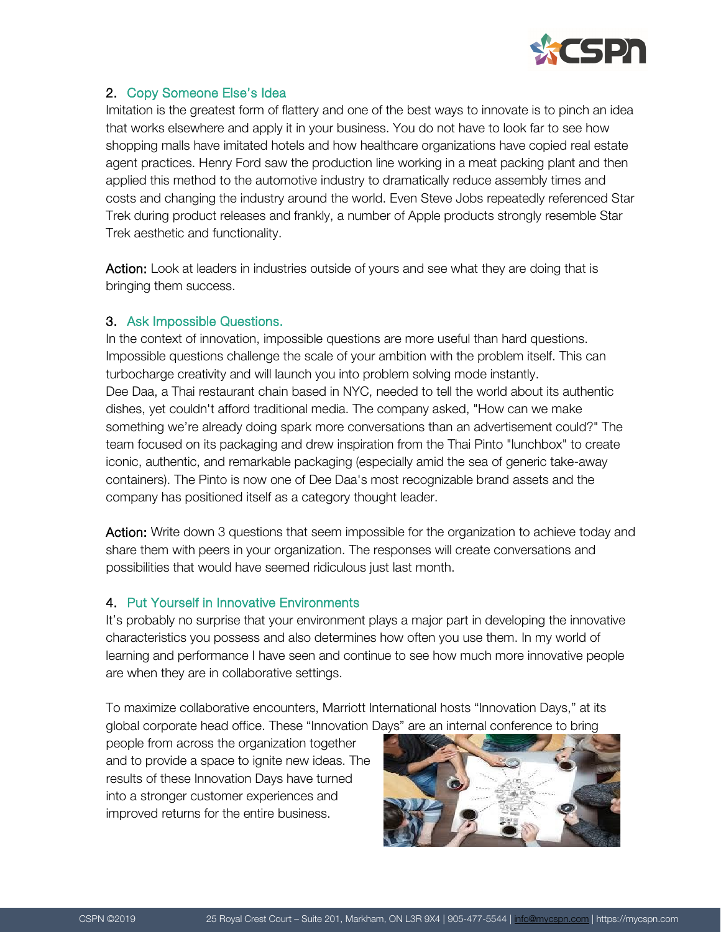

# 2. Copy Someone Else's Idea

Imitation is the greatest form of flattery and one of the best ways to innovate is to pinch an idea that works elsewhere and apply it in your business. You do not have to look far to see how shopping malls have imitated hotels and how healthcare organizations have copied real estate agent practices. Henry Ford saw the production line working in a meat packing plant and then applied this method to the automotive industry to dramatically reduce assembly times and costs and changing the industry around the world. Even Steve Jobs repeatedly referenced Star Trek during product releases and frankly, a number of Apple products strongly resemble Star Trek aesthetic and functionality.

Action: Look at leaders in industries outside of yours and see what they are doing that is bringing them success.

#### 3. Ask Impossible Questions.

In the context of innovation, impossible questions are more useful than hard questions. Impossible questions challenge the scale of your ambition with the problem itself. This can turbocharge creativity and will launch you into problem solving mode instantly. Dee Daa, a Thai restaurant chain based in NYC, needed to tell the world about its authentic dishes, yet couldn't afford traditional media. The company asked, "How can we make something we're already doing spark more conversations than an advertisement could?" The team focused on its packaging and drew inspiration from the Thai Pinto "lunchbox" to create iconic, authentic, and remarkable packaging (especially amid the sea of generic take-away containers). The Pinto is now one of Dee Daa's most recognizable brand assets and the company has positioned itself as a category thought leader.

Action: Write down 3 questions that seem impossible for the organization to achieve today and share them with peers in your organization. The responses will create conversations and possibilities that would have seemed ridiculous just last month.

## 4. Put Yourself in Innovative Environments

It's probably no surprise that your environment plays a major part in developing the innovative characteristics you possess and also determines how often you use them. In my world of learning and performance I have seen and continue to see how much more innovative people are when they are in collaborative settings.

To maximize collaborative encounters, Marriott International hosts "Innovation Days," at its global corporate head office. These "Innovation Days" are an internal conference to bring

people from across the organization together and to provide a space to ignite new ideas. The results of these Innovation Days have turned into a stronger customer experiences and improved returns for the entire business.